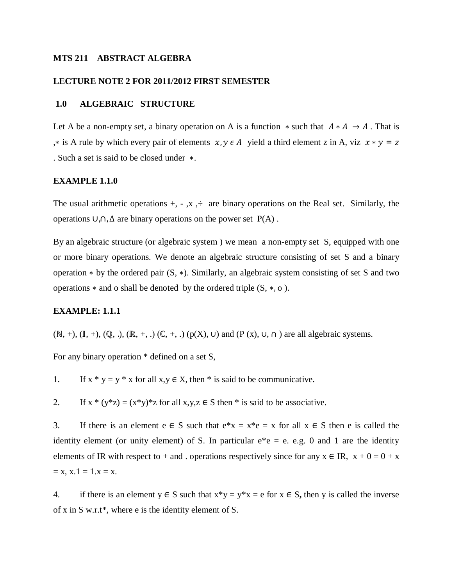#### **MTS 211 ABSTRACT ALGEBRA**

#### **LECTURE NOTE 2 FOR 2011/2012 FIRST SEMESTER**

## **1.0 ALGEBRAIC STRUCTURE**

Let A be a non-empty set, a binary operation on A is a function  $*$  such that  $A * A \rightarrow A$ . That is ,\* is A rule by which every pair of elements  $x, y \in A$  yield a third element z in A, viz  $x * y = z$ . Such a set is said to be closed under ∗.

#### **EXAMPLE 1.1.0**

The usual arithmetic operations  $+, -, x$ ,  $\div$  are binary operations on the Real set. Similarly, the operations ∪,∩, ∆ are binary operations on the power set P(A) .

By an algebraic structure (or algebraic system ) we mean a non-empty set S, equipped with one or more binary operations. We denote an algebraic structure consisting of set S and a binary operation ∗ by the ordered pair (S, ∗). Similarly, an algebraic system consisting of set S and two operations  $*$  and o shall be denoted by the ordered triple  $(S, *, o)$ .

## **EXAMPLE: 1.1.1**

 $(N, +)$ ,  $(\mathbb{I}, +)$ ,  $(\mathbb{Q}, \cdot)$ ,  $(\mathbb{R}, +, \cdot)$   $(\mathbb{C}, +, \cdot)$   $(p(X), \cup)$  and  $(P(x), \cup, \cap)$  are all algebraic systems.

For any binary operation \* defined on a set S,

1. If  $x * y = y * x$  for all  $x, y \in X$ , then \* is said to be communicative.

2. If  $x * (y * z) = (x * y) * z$  for all  $x, y, z \in S$  then  $*$  is said to be associative.

3. If there is an element  $e \in S$  such that  $e^*x = x^*e = x$  for all  $x \in S$  then e is called the identity element (or unity element) of S. In particular  $e^*e = e$ . e.g. 0 and 1 are the identity elements of IR with respect to + and . operations respectively since for any  $x \in IR$ ,  $x + 0 = 0 + x$  $= x, x.1 = 1.x = x.$ 

4. if there is an element  $y \in S$  such that  $x*y = y*x = e$  for  $x \in S$ , then y is called the inverse of x in S w.r.t\*, where e is the identity element of S.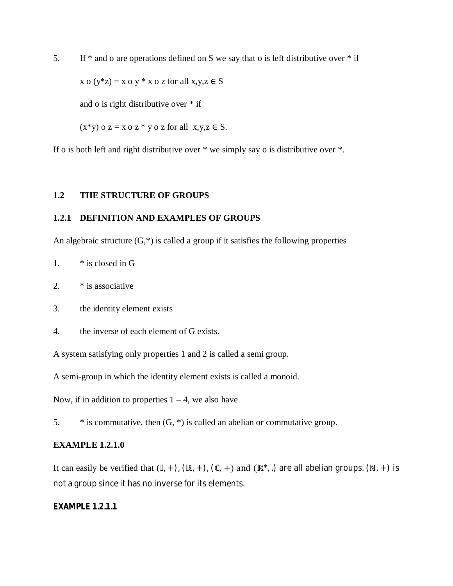5. If  $*$  and o are operations defined on S we say that o is left distributive over  $*$  if

 $x \circ (y * z) = x \circ y * x \circ z$  for all  $x, y, z \in S$ 

and o is right distributive over \* if

 $(x*y)$  o  $z = x o z * y o z$  for all  $x,y,z \in S$ .

If o is both left and right distributive over \* we simply say o is distributive over \*.

## **1.2 THE STRUCTURE OF GROUPS**

## **1.2.1 DEFINITION AND EXAMPLES OF GROUPS**

An algebraic structure  $(G,^*)$  is called a group if it satisfies the following properties

1. \* is closed in G

2.  $*$  is associative

3. the identity element exists

4. the inverse of each element of G exists.

A system satisfying only properties 1 and 2 is called a semi group.

A semi-group in which the identity element exists is called a monoid.

Now, if in addition to properties  $1 - 4$ , we also have

5.  $*$  is commutative, then  $(G, *)$  is called an abelian or commutative group.

## **EXAMPLE 1.2.1.0**

It can easily be verified that  $(\mathbb{I}, +)$ ,  $(\mathbb{R}, +)$ ,  $(\mathbb{C}, +)$  and  $(\mathbb{R}^*, \cdot)$  are all abelian groups.  $(\mathbb{N}, +)$  is not a group since it has no inverse for its elements.

## **EXAMPLE 1.2.1.1**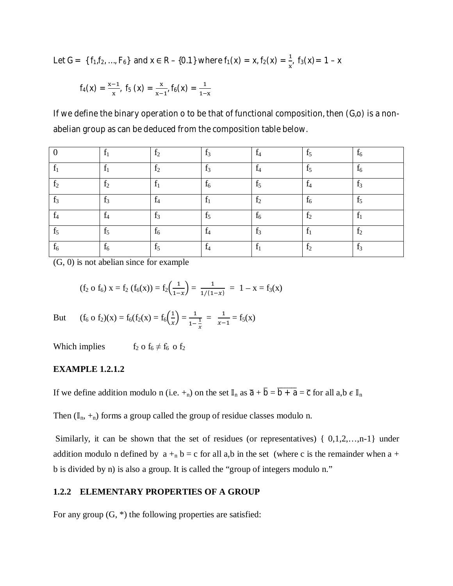Let G = {  $f_1, f_2, ..., F_6$ } and  $x \in R - \{0.1\}$  where  $f_1(x) = x$ ,  $f_2(x) = \frac{1}{x}$ ,  $f_3(x) = 1 - x$ 

$$
f_4(x) = \frac{x-1}{x}
$$
,  $f_5(x) = \frac{x}{x-1}$ ,  $f_6(x) = \frac{1}{1-x}$ 

If we define the binary operation o to be that of functional composition, then (G,o) is a nonabelian group as can be deduced from the composition table below.

|                | $f_1$          | f <sub>2</sub>                 | $f_3$          | $f_4$          | f <sub>5</sub> | $f_6$          |
|----------------|----------------|--------------------------------|----------------|----------------|----------------|----------------|
|                | $f_1$          | f <sub>2</sub>                 | $f_3$          | $f_4$          | $f_5$          | $f_6$          |
| f <sub>2</sub> | f <sub>2</sub> | f <sub>1</sub><br>$\mathbf{r}$ | $f_6$          | f <sub>5</sub> | f <sub>4</sub> | $f_3$          |
| $f_3$          | $f_3$          | $f_4$                          | $f_1$          | f <sub>2</sub> | $f_6$          | f <sub>5</sub> |
| $f_4$          | $f_4$          | $f_3$                          | $f_5$          | $f_6$          | f <sub>2</sub> | $f_1$          |
| $f_5$          | $f_5$          | $f_6$                          | $f_4$          | $f_3$          |                | f <sub>2</sub> |
| $f_6$          | $f_6$          | $f_5$                          | $\mathrm{f}_4$ | $\mathrm{f}_1$ | f <sub>2</sub> | $f_3$          |

(G, 0) is not abelian since for example

$$
(f_2 \circ f_6) x = f_2 (f_6(x)) = f_2(\frac{1}{1-x}) = \frac{1}{1/(1-x)} = 1 - x = f_3(x)
$$

But  $(f_6 \circ f_2)(x) = f_6(f_2(x)) = f_6(\frac{1}{x})$  $\frac{1}{x} = \frac{1}{1-x}$  $1 - \frac{1}{x}$  $\mathcal{X}$  $=$   $\frac{1}{\pi}$  $\frac{1}{x-1} = f_5(x)$ 

Which implies f<sub>2</sub> o f<sub>6</sub>  $\neq$  f<sub>6</sub> o f<sub>2</sub>

#### **EXAMPLE 1.2.1.2**

If we define addition modulo n (i.e.  $+_{n}$ ) on the set  $\mathbb{I}_{n}$  as  $\overline{a} + \overline{b} = \overline{b} + \overline{a} = \overline{c}$  for all  $a, b \in \mathbb{I}_{n}$ 

Then  $(\mathbb{I}_n, +_n)$  forms a group called the group of residue classes modulo n.

Similarly, it can be shown that the set of residues (or representatives)  $\{0,1,2,...,n-1\}$  under addition modulo n defined by  $a +_n b = c$  for all a,b in the set (where c is the remainder when a + b is divided by n) is also a group. It is called the "group of integers modulo n."

### **1.2.2 ELEMENTARY PROPERTIES OF A GROUP**

For any group  $(G, * )$  the following properties are satisfied: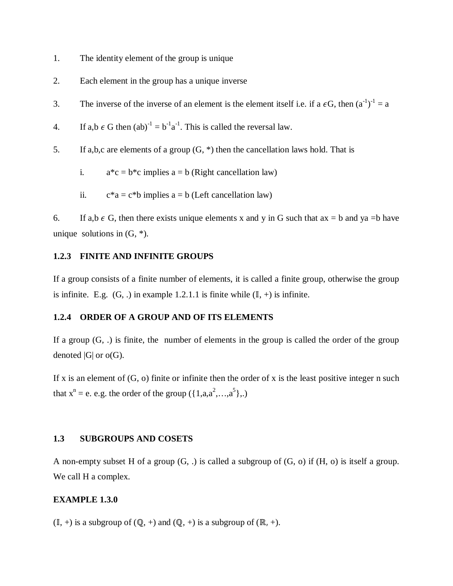- 1. The identity element of the group is unique
- 2. Each element in the group has a unique inverse
- 3. The inverse of the inverse of an element is the element itself i.e. if a  $\epsilon G$ , then  $(a^{-1})^{-1} = a$
- 4. If a,b  $\epsilon$  G then  $(ab)^{-1} = b^{-1}a^{-1}$ . This is called the reversal law.
- 5. If a,b,c are elements of a group  $(G, * )$  then the cancellation laws hold. That is
	- i.  $a^*c = b^*c$  implies  $a = b$  (Right cancellation law)
	- ii.  $c^*a = c^*b$  implies  $a = b$  (Left cancellation law)

6. If a,b  $\epsilon$  G, then there exists unique elements x and y in G such that  $ax = b$  and  $ya = b$  have unique solutions in  $(G, *).$ 

## **1.2.3 FINITE AND INFINITE GROUPS**

If a group consists of a finite number of elements, it is called a finite group, otherwise the group is infinite. E.g.  $(G,.)$  in example 1.2.1.1 is finite while  $(\mathbb{I}, +)$  is infinite.

## **1.2.4 ORDER OF A GROUP AND OF ITS ELEMENTS**

If a group  $(G, .)$  is finite, the number of elements in the group is called the order of the group denoted  $|G|$  or  $o(G)$ .

If x is an element of  $(G, o)$  finite or infinite then the order of x is the least positive integer n such that  $x^n = e$ . e.g. the order of the group  $({1, a, a^2, ..., a^5},.)$ 

### **1.3 SUBGROUPS AND COSETS**

A non-empty subset H of a group (G, .) is called a subgroup of (G, o) if (H, o) is itself a group. We call H a complex.

## **EXAMPLE 1.3.0**

 $(II, +)$  is a subgroup of  $(\mathbb{Q}, +)$  and  $(\mathbb{Q}, +)$  is a subgroup of  $(\mathbb{R}, +)$ .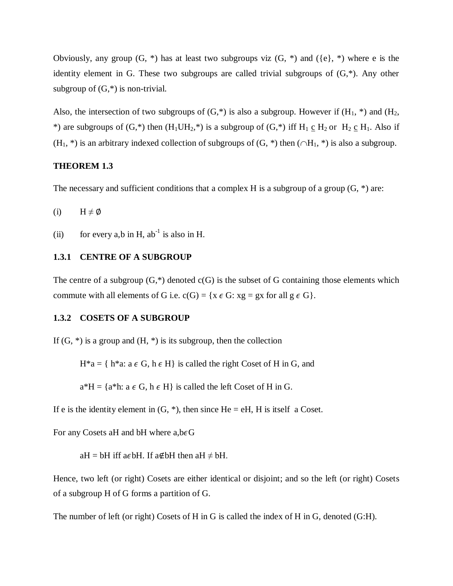Obviously, any group  $(G, * )$  has at least two subgroups viz  $(G, * )$  and  $({e}, * )$  where e is the identity element in G. These two subgroups are called trivial subgroups of (G,\*). Any other subgroup of  $(G,*)$  is non-trivial.

Also, the intersection of two subgroups of  $(G,*)$  is also a subgroup. However if  $(H_1, *)$  and  $(H_2, *)$ \*) are subgroups of  $(G,*)$  then  $(H_1UH_2,*)$  is a subgroup of  $(G,*)$  iff  $H_1 \text{ c } H_2$  or  $H_2 \text{ c } H_1$ . Also if  $(H_1, *)$  is an arbitrary indexed collection of subgroups of  $(G, *)$  then  $(\bigcap H_1, *)$  is also a subgroup.

### **THEOREM 1.3**

The necessary and sufficient conditions that a complex H is a subgroup of a group  $(G, * )$  are:

(i)  $H \neq \emptyset$ 

(ii) for every a,b in H,  $ab^{-1}$  is also in H.

#### **1.3.1 CENTRE OF A SUBGROUP**

The centre of a subgroup  $(G,^*)$  denoted  $c(G)$  is the subset of G containing those elements which commute with all elements of G i.e.  $c(G) = \{x \in G : xg = gx \text{ for all } g \in G\}.$ 

#### **1.3.2 COSETS OF A SUBGROUP**

If  $(G, *)$  is a group and  $(H, *)$  is its subgroup, then the collection

 $H^*a = \{ h^*a: a \in G, h \in H \}$  is called the right Coset of H in G, and

 $a*H = \{a*h: a \in G, h \in H\}$  is called the left Coset of H in G.

If e is the identity element in  $(G, *),$  then since He = eH, H is itself a Coset.

For any Cosets aH and bH where  $a,b \in G$ 

aH = bH iff a $\epsilon$ bH. If a∉bH then aH  $\neq$  bH.

Hence, two left (or right) Cosets are either identical or disjoint; and so the left (or right) Cosets of a subgroup H of G forms a partition of G.

The number of left (or right) Cosets of H in G is called the index of H in G, denoted (G:H).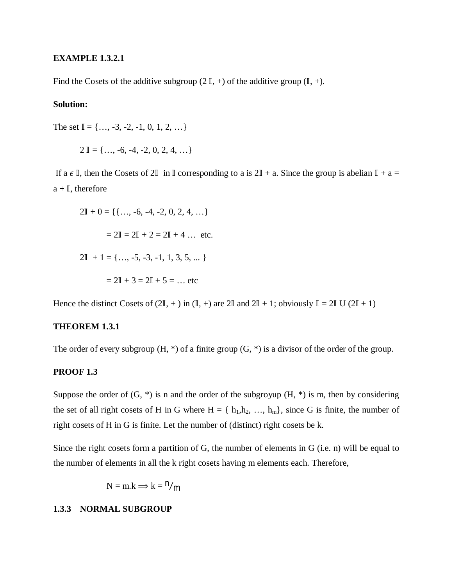## **EXAMPLE 1.3.2.1**

Find the Cosets of the additive subgroup (2  $\mathbb{I}$ , +) of the additive group ( $\mathbb{I}$ , +).

## **Solution:**

The set  $\mathbb{I} = \{..., -3, -2, -1, 0, 1, 2, ...\}$ 

$$
2 \mathbb{I} = \{ \dots, -6, -4, -2, 0, 2, 4, \dots \}
$$

If a  $\epsilon \mathbb{I}$ , then the Cosets of  $2\mathbb{I}$  in  $\mathbb{I}$  corresponding to a is  $2\mathbb{I} + a$ . Since the group is abelian  $\mathbb{I} + a =$  $a + I$ , therefore

$$
2\mathbb{I} + 0 = \{ \{..., -6, -4, -2, 0, 2, 4, ...\}
$$

$$
= 2\mathbb{I} = 2\mathbb{I} + 2 = 2\mathbb{I} + 4 ... \text{ etc.}
$$

$$
2\mathbb{I} + 1 = \{..., -5, -3, -1, 1, 3, 5, ...\}
$$

$$
= 2\mathbb{I} + 3 = 2\mathbb{I} + 5 = ... \text{ etc.}
$$

Hence the distinct Cosets of  $(2\mathbb{I}, +)$  in  $(\mathbb{I}, +)$  are  $2\mathbb{I}$  and  $2\mathbb{I} + 1$ ; obviously  $\mathbb{I} = 2\mathbb{I}$  U  $(2\mathbb{I} + 1)$ 

## **THEOREM 1.3.1**

The order of every subgroup  $(H, * )$  of a finite group  $(G, * )$  is a divisor of the order of the group.

## **PROOF 1.3**

Suppose the order of  $(G, * )$  is n and the order of the subgroyup  $(H, * )$  is m, then by considering the set of all right cosets of H in G where  $H = \{ h_1, h_2, ..., h_m \}$ , since G is finite, the number of right cosets of H in G is finite. Let the number of (distinct) right cosets be k.

Since the right cosets form a partition of G, the number of elements in G (i.e. n) will be equal to the number of elements in all the k right cosets having m elements each. Therefore,

$$
N=m.k\Longrightarrow k={}^n\text{/}m
$$

## **1.3.3 NORMAL SUBGROUP**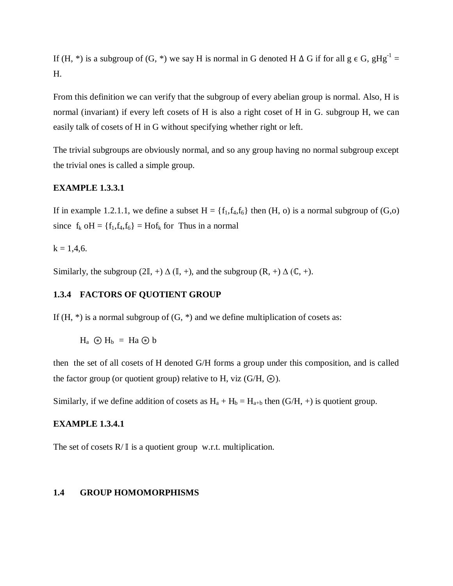If (H, \*) is a subgroup of (G, \*) we say H is normal in G denoted H  $\Delta$  G if for all g  $\epsilon$  G, gHg<sup>-1</sup> = H.

From this definition we can verify that the subgroup of every abelian group is normal. Also, H is normal (invariant) if every left cosets of H is also a right coset of H in G. subgroup H, we can easily talk of cosets of H in G without specifying whether right or left.

The trivial subgroups are obviously normal, and so any group having no normal subgroup except the trivial ones is called a simple group.

## **EXAMPLE 1.3.3.1**

If in example 1.2.1.1, we define a subset  $H = \{f_1, f_4, f_6\}$  then  $(H, o)$  is a normal subgroup of  $(G, o)$ since  $f_k$  oH = { $f_1, f_4, f_6$ } = Ho $f_k$  for Thus in a normal

 $k = 1,4,6.$ 

Similarly, the subgroup (2 $\mathbb{I}$ , +)  $\Delta$  ( $\mathbb{I}$ , +), and the subgroup (R, +)  $\Delta$  ( $\mathbb{C}$ , +).

## **1.3.4 FACTORS OF QUOTIENT GROUP**

If  $(H, *)$  is a normal subgroup of  $(G, *)$  and we define multiplication of cosets as:

 $H_a \odot H_b = H_a \odot b$ 

then the set of all cosets of H denoted G/H forms a group under this composition, and is called the factor group (or quotient group) relative to H, viz  $(G/H, \circledast)$ .

Similarly, if we define addition of cosets as  $H_a + H_b = H_{a+b}$  then  $(G/H, +)$  is quotient group.

## **EXAMPLE 1.3.4.1**

The set of cosets  $R/\mathbb{I}$  is a quotient group w.r.t. multiplication.

#### **1.4 GROUP HOMOMORPHISMS**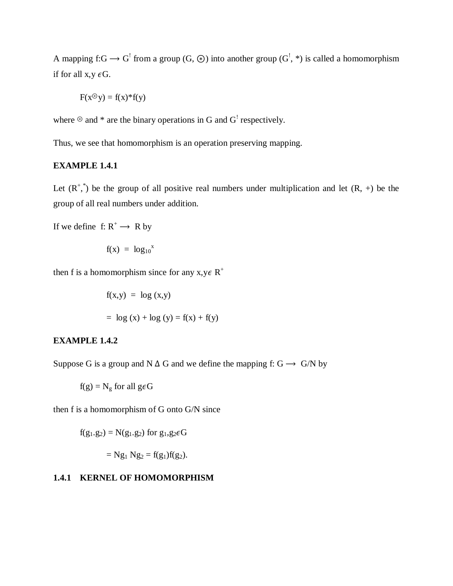A mapping f:G  $\rightarrow$  G<sup>1</sup> from a group (G,  $\circledast$ ) into another group (G<sup>1</sup>, \*) is called a homomorphism if for all  $x,y \in G$ .

$$
F(x^{\odot}y) = f(x)^*f(y)
$$

where  $\mathcal{P}$  and  $*$  are the binary operations in G and G<sup>!</sup> respectively.

Thus, we see that homomorphism is an operation preserving mapping.

## **EXAMPLE 1.4.1**

Let  $(R^*,^*)$  be the group of all positive real numbers under multiplication and let  $(R, +)$  be the group of all real numbers under addition.

If we define f:  $R^+ \rightarrow R$  by

$$
f(x) = log_{10}x
$$

then f is a homomorphism since for any  $x, y \in R^+$ 

$$
f(x,y) = log(x,y)
$$
  
= log(x) + log (y) = f(x) + f(y)

#### **EXAMPLE 1.4.2**

Suppose G is a group and N  $\Delta$  G and we define the mapping f: G  $\rightarrow$  G/N by

$$
f(g) = N_g
$$
 for all  $g \in G$ 

then f is a homomorphism of G onto G/N since

$$
f(g_1.g_2) = N(g_1.g_2)
$$
 for  $g_1,g_2 \in G$ 

$$
= Ng_1 Ng_2 = f(g_1)f(g_2).
$$

## **1.4.1 KERNEL OF HOMOMORPHISM**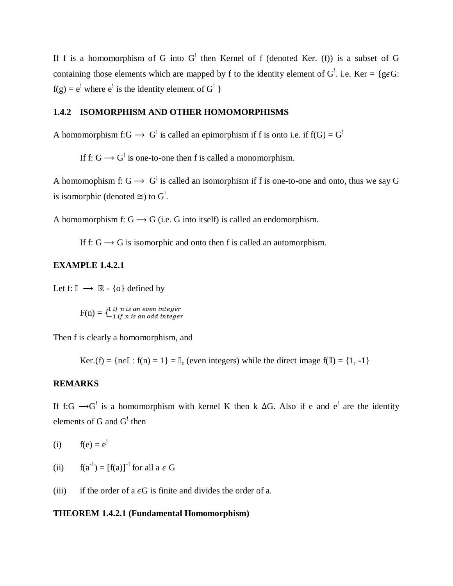If f is a homomorphism of G into  $G'$  then Kernel of f (denoted Ker. (f)) is a subset of G containing those elements which are mapped by f to the identity element of  $G^!$ . i.e. Ker = {g $\epsilon G$ :  $f(g) = e^{i}$  where  $e^{i}$  is the identity element of  $G^{!}$  }

# **1.4.2 ISOMORPHISM AND OTHER HOMOMORPHISMS**

A homomorphism f: $G \rightarrow G^!$  is called an epimorphism if f is onto i.e. if f(G) =  $G^!$ 

If f:  $G \rightarrow G'$  is one-to-one then f is called a monomorphism.

A homomophism f:  $G \rightarrow G^{\dagger}$  is called an isomorphism if f is one-to-one and onto, thus we say G is isomorphic (denoted  $\cong$ ) to G<sup>!</sup>.

A homomorphism f:  $G \rightarrow G$  (i.e. G into itself) is called an endomorphism.

If f:  $G \rightarrow G$  is isomorphic and onto then f is called an automorphism.

#### **EXAMPLE 1.4.2.1**

Let  $f: \mathbb{I} \longrightarrow \mathbb{R} - \{o\}$  defined by

 $F(n) = \{^{1 \; if \; n \; is \; an \; even \; integer} \} \nonumber$ 

Then f is clearly a homomorphism, and

Ker.(f) =  $\{n \in \mathbb{I} : f(n) = 1\} = \mathbb{I}_{\infty}$  (even integers) while the direct image  $f(\mathbb{I}) = \{1, -1\}$ 

### **REMARKS**

If f:G  $\rightarrow$ G<sup>1</sup> is a homomorphism with kernel K then k  $\Delta$ G. Also if e and e<sup>1</sup> are the identity elements of G and  $G'$  then

(i)  $f(e) = e^{!}$ 

- (ii)  $f(a^{-1}) = [f(a)]^{-1}$  for all  $a \in G$
- (iii) if the order of a  $\epsilon G$  is finite and divides the order of a.

### **THEOREM 1.4.2.1 (Fundamental Homomorphism)**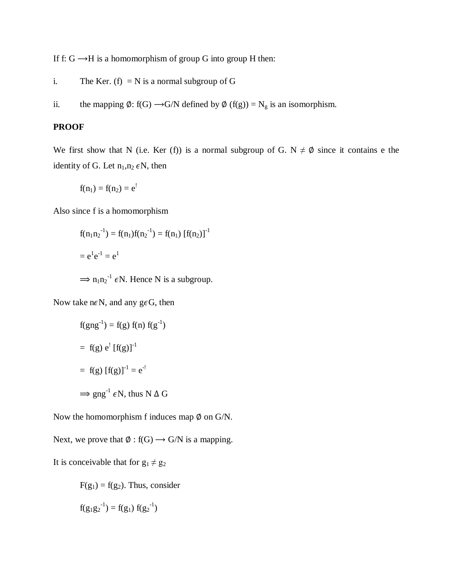If f:  $G \rightarrow H$  is a homomorphism of group G into group H then:

- i. The Ker. (f)  $= N$  is a normal subgroup of G
- ii. the mapping  $\emptyset$ : f(G)  $\rightarrow$  G/N defined by  $\emptyset$  (f(g)) = N<sub>g</sub> is an isomorphism.

## **PROOF**

We first show that N (i.e. Ker (f)) is a normal subgroup of G.  $N \neq \emptyset$  since it contains e the identity of G. Let  $n_1, n_2 \in N$ , then

$$
f(n_1) = f(n_2) = e^!
$$

Also since f is a homomorphism

$$
f(n_1n_2^{-1}) = f(n_1)f(n_2^{-1}) = f(n_1) [f(n_2)]^{-1}
$$
  
=  $e^1e^{-1} = e^1$   
 $\implies n_1n_2^{-1} \in N$ . Hence N is a subgroup.

Now take n $\epsilon$ N, and any g $\epsilon$ G, then

$$
f(gng^{-1}) = f(g) f(n) f(g^{-1})
$$
  
= f(g) e<sup>!</sup> [f(g)]<sup>-1</sup>  
= f(g) [f(g)]<sup>-1</sup> = e<sup>-1</sup>  

$$
\Rightarrow gng^{-1} \epsilon N, \text{ thus } N \Delta G
$$

Now the homomorphism f induces map  $\emptyset$  on G/N.

Next, we prove that  $\emptyset$  : f(G)  $\rightarrow$  G/N is a mapping.

It is conceivable that for  $g_1 \neq g_2$ 

 $F(g_1) = f(g_2)$ . Thus, consider

$$
f(g_1g_2^{-1}) = f(g_1) f(g_2^{-1})
$$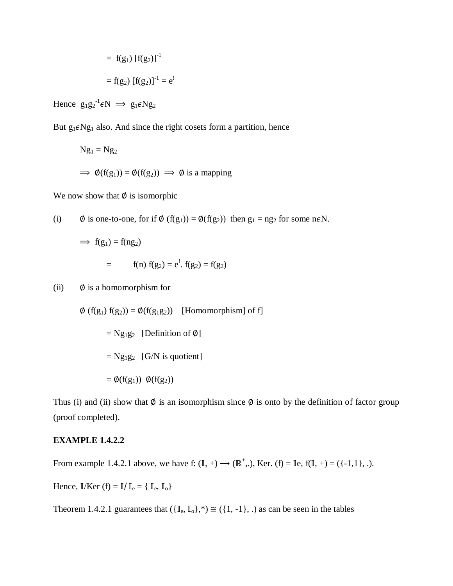$$
= f(g_1) [f(g_2)]-1
$$

$$
= f(g_2) [f(g_2)]-1 = e1
$$

Hence  $g_1g_2^{-1} \epsilon N \implies g_1 \epsilon N g_2$ 

But  $g_1 \in Ng_1$  also. And since the right cosets form a partition, hence

$$
Ng_1 = Ng_2
$$
  
\n
$$
\Rightarrow \phi(f(g_1)) = \phi(f(g_2)) \Rightarrow \phi \text{ is a mapping}
$$

We now show that  $\emptyset$  is isomorphic

(i) 
$$
\emptyset
$$
 is one-to-one, for if  $\emptyset$  (f(g<sub>1</sub>)) =  $\emptyset$ (f(g<sub>2</sub>)) then g<sub>1</sub> = ng<sub>2</sub> for some n $\in \mathbb{N}$ .

$$
\Rightarrow f(g_1) = f(ng_2) \n= f(n) f(g_2) = e^t \cdot f(g_2) = f(g_2)
$$

(ii)  $\emptyset$  is a homomorphism for

$$
\emptyset (f(g_1) f(g_2)) = \emptyset (f(g_1 g_2)) \quad \text{[Homomorphism]} \text{ of } f\text{]}
$$
\n
$$
= Ng_1 g_2 \quad \text{[Definition of } \emptyset\text{]}
$$
\n
$$
= Ng_1 g_2 \quad \text{[G/N is quotient]}
$$
\n
$$
= \emptyset (f(g_1)) \quad \emptyset (f(g_2))
$$

Thus (i) and (ii) show that  $\emptyset$  is an isomorphism since  $\emptyset$  is onto by the definition of factor group (proof completed).

## **EXAMPLE 1.4.2.2**

From example 1.4.2.1 above, we have f:  $(\mathbb{I}, +) \to (\mathbb{R}^+,),$  Ker. (f) =  $\mathbb{I}$ e, f $(\mathbb{I}, +) = (\{-1,1\},\dots)$ .

Hence,  $\mathbb{I}/\text{Ker}$  (f) =  $\mathbb{I}/\mathbb{I}_e = \{ \mathbb{I}_e, \mathbb{I}_o \}$ 

Theorem 1.4.2.1 guarantees that  $(\{\mathbb{I}_e, \mathbb{I}_o\},^*) \cong (\{1, -1\}, .)$  as can be seen in the tables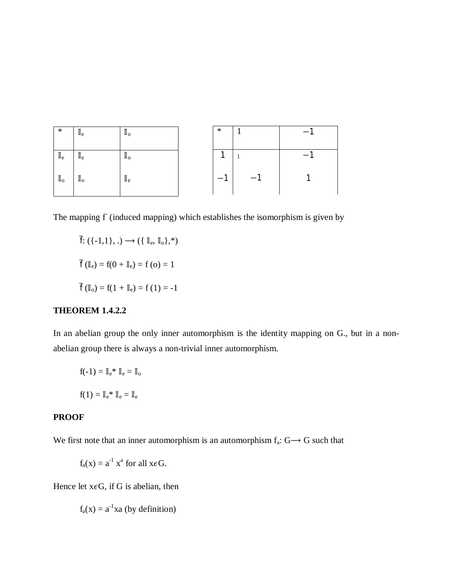| $\ast$                    | $\mathbb{I}_{e}$          | $\mathbb{I}_{\mathrm{o}}$ | $\ast$ |   |  |
|---------------------------|---------------------------|---------------------------|--------|---|--|
| $\mathbb{I}_{\mathrm{e}}$ | $\mathbb{I}_{e}$          | $\mathbb{I}_{\mathrm{o}}$ |        |   |  |
| $\mathbb{I}_{\mathrm{o}}$ | $\mathbb{I}_{\mathrm{o}}$ | $\mathbb{I}_{\rm e}$      | ۰      | ◢ |  |

The mapping f (induced mapping) which establishes the isomorphism is given by

 $\overline{f}: (\{-1,1\}, .) \longrightarrow (\{\mathbb{I}_{e}, \mathbb{I}_{o}\}, \ast)$  $\bar{f}$  ( $\mathbb{I}_{e}$ ) = f(0 +  $\mathbb{I}_{e}$ ) = f (0) = 1  $\bar{f}$  (I<sub>o</sub>) = f(1 + I<sub>e</sub>) = f(1) = -1

# **THEOREM 1.4.2.2**

In an abelian group the only inner automorphism is the identity mapping on G., but in a nonabelian group there is always a non-trivial inner automorphism.

$$
f(-1) = \mathbb{I}_e^* \ \mathbb{I}_e = \mathbb{I}_o
$$

$$
f(1) = \mathbb{I}_e^* \ \mathbb{I}_e = \mathbb{I}_e
$$

### **PROOF**

We first note that an inner automorphism is an automorphism  $f_a: G \rightarrow G$  such that

$$
f_a(x) = a^{-1} x^a
$$
 for all  $x \in G$ .

Hence let  $x \in G$ , if G is abelian, then

 $f_a(x) = a^{-1}xa$  (by definition)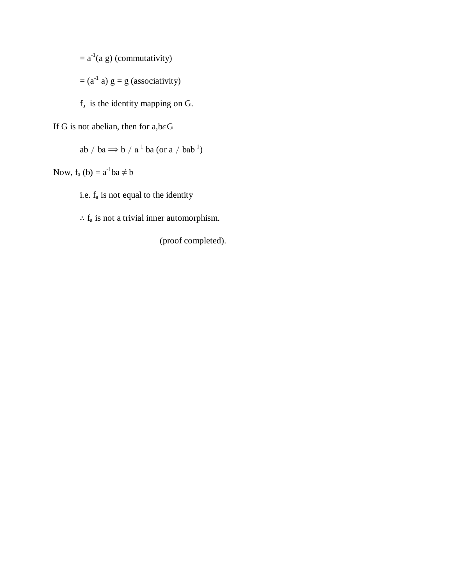$=$  a<sup>-1</sup>(a g) (commutativity)

 $=$  (a<sup>-1</sup> a)  $g = g$  (associativity)

- $f_a$  is the identity mapping on G.
- If G is not abelian, then for  $a,b \in G$

$$
ab \neq ba \Longrightarrow b \neq a^{-1} ba (or a \neq bab^{-1})
$$

Now,  $f_a(b) = a^{-1}ba \neq b$ 

i.e. f<sup>a</sup> is not equal to the identity

 $\therefore$   $f_a$  is not a trivial inner automorphism.

(proof completed).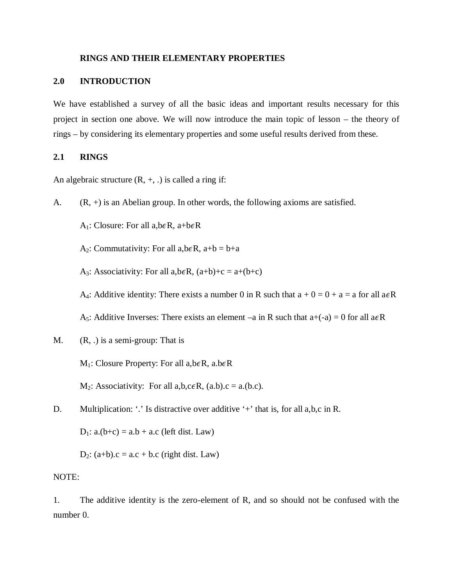### **RINGS AND THEIR ELEMENTARY PROPERTIES**

### **2.0 INTRODUCTION**

We have established a survey of all the basic ideas and important results necessary for this project in section one above. We will now introduce the main topic of lesson – the theory of rings – by considering its elementary properties and some useful results derived from these.

### **2.1 RINGS**

An algebraic structure  $(R, +, .)$  is called a ring if:

A.  $(R, +)$  is an Abelian group. In other words, the following axioms are satisfied.

A<sub>1</sub>: Closure: For all a, b $\epsilon$ R, a+b $\epsilon$ R

A<sub>2</sub>: Commutativity: For all a,b $\epsilon$ R, a+b = b+a

A<sub>3</sub>: Associativity: For all a,b $\epsilon$ R,  $(a+b)+c = a+(b+c)$ 

A<sub>4</sub>: Additive identity: There exists a number 0 in R such that  $a + 0 = 0 + a = a$  for all  $a \in R$ 

A<sub>5</sub>: Additive Inverses: There exists an element –a in R such that  $a+(-a) = 0$  for all  $a \in R$ 

M.  $(R, .)$  is a semi-group: That is

 $M_1$ : Closure Property: For all a,b $\epsilon R$ , a.b $\epsilon R$ 

 $M_2$ : Associativity: For all a,b,c $\epsilon R$ , (a.b).c = a.(b.c).

D. Multiplication: '.' Is distractive over additive '+' that is, for all a,b,c in R.

 $D_1$ : a.(b+c) = a.b + a.c (left dist. Law)

 $D_2$ : (a+b).c = a.c + b.c (right dist. Law)

### NOTE:

1. The additive identity is the zero-element of R, and so should not be confused with the number 0.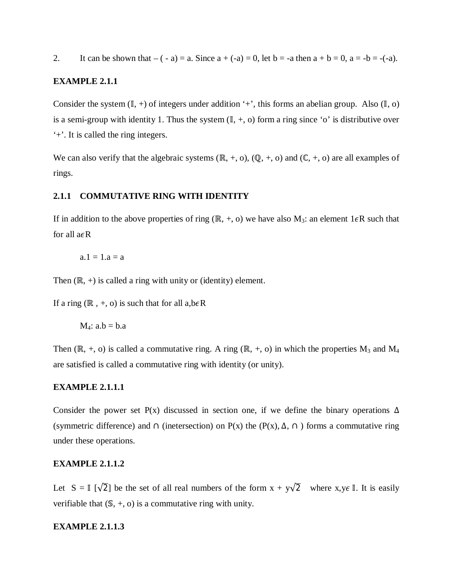2. It can be shown that  $-(-a) = a$ . Since  $a + (-a) = 0$ , let  $b = -a$  then  $a + b = 0$ ,  $a = -b = (-a)$ .

### **EXAMPLE 2.1.1**

Consider the system  $(\mathbb{I}, +)$  of integers under addition '+', this forms an abelian group. Also  $(\mathbb{I}, o)$ is a semi-group with identity 1. Thus the system  $(\mathbb{I}, +, o)$  form a ring since 'o' is distributive over '+'. It is called the ring integers.

We can also verify that the algebraic systems  $(\mathbb{R}, +, o)$ ,  $(\mathbb{Q}, +, o)$  and  $(\mathbb{C}, +, o)$  are all examples of rings.

## **2.1.1 COMMUTATIVE RING WITH IDENTITY**

If in addition to the above properties of ring (ℝ, +, o) we have also M<sub>3</sub>: an element 1 $\epsilon$ R such that for all  $a \in R$ 

$$
a.1=1.a=a\\
$$

Then  $(\mathbb{R}, +)$  is called a ring with unity or (identity) element.

If a ring  $(\mathbb{R}, +, o)$  is such that for all a,b $\epsilon \mathbb{R}$ 

 $M_4$ : a.b = b.a

Then (ℝ, +, o) is called a commutative ring. A ring (ℝ, +, o) in which the properties  $M_3$  and  $M_4$ are satisfied is called a commutative ring with identity (or unity).

## **EXAMPLE 2.1.1.1**

Consider the power set P(x) discussed in section one, if we define the binary operations  $\Delta$ (symmetric difference) and  $\cap$  (inetersection) on P(x) the (P(x),  $\Delta$ ,  $\cap$ ) forms a commutative ring under these operations.

## **EXAMPLE 2.1.1.2**

Let  $S = \mathbb{I} \left[\sqrt{2}\right]$  be the set of all real numbers of the form  $x + y\sqrt{2}$  where  $x, y \in \mathbb{I}$ . It is easily verifiable that  $(S, +, o)$  is a commutative ring with unity.

### **EXAMPLE 2.1.1.3**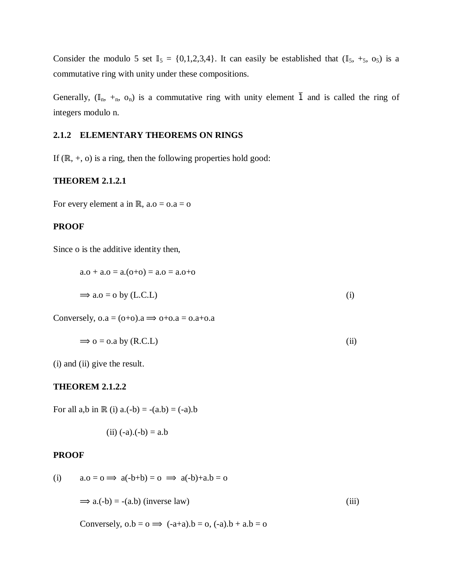Consider the modulo 5 set  $\mathbb{I}_5 = \{0,1,2,3,4\}$ . It can easily be established that  $(\mathbb{I}_5, +_5, 0_5)$  is a commutative ring with unity under these compositions.

Generally,  $(\mathbb{I}_n, +_n, o_n)$  is a commutative ring with unity element  $\overline{1}$  and is called the ring of integers modulo n.

## **2.1.2 ELEMENTARY THEOREMS ON RINGS**

If  $(\mathbb{R}, +, o)$  is a ring, then the following properties hold good:

## **THEOREM 2.1.2.1**

For every element a in ℝ,  $a.o = o.a = o$ 

#### **PROOF**

Since o is the additive identity then,

$$
a \cdot b + a \cdot b = a \cdot (b + b) = a \cdot b = a \cdot b + b
$$
\n
$$
\Rightarrow a \cdot b = b \cdot b \cdot (b \cdot b) = b \cdot b \cdot (b \cdot b)
$$
\n
$$
(i)
$$

Conversely,  $o.a = (o+o).a \implies o+o.a = o.a+o.a$ 

$$
\Rightarrow o = o.a \text{ by } (R.C.L) \tag{ii}
$$

(i) and (ii) give the result.

### **THEOREM 2.1.2.2**

For all a,b in  $\mathbb{R}$  (i) a.(-b) = -(a.b) = (-a).b

(ii) 
$$
(-a).(-b) = a.b
$$

#### **PROOF**

(i) 
$$
a.o = o \implies a(-b+b) = o \implies a(-b)+a.b = o
$$
  
\n $\implies a.(-b) = -(a.b) \text{ (inverse law)}$  (iii)

Conversely,  $o.b = o \implies (-a+a).b = o, (-a).b + a.b = o$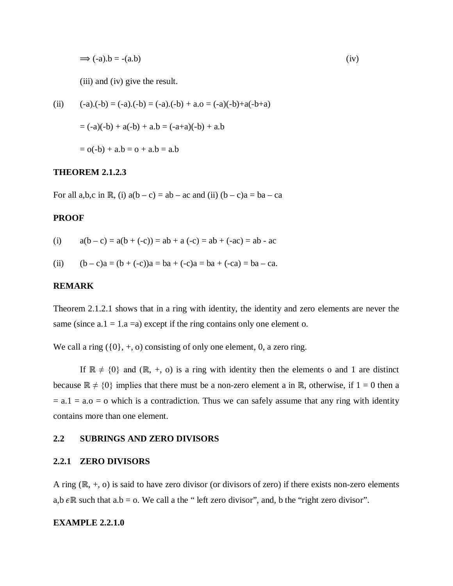$$
\Rightarrow (-a).b = -(a.b) \tag{iv}
$$

(iii) and (iv) give the result.

(ii) 
$$
(-a).(-b) = (-a).(-b) = (-a).(-b) + a.0 = (-a)(-b)+a(-b+a)
$$
  

$$
= (-a)(-b) + a(-b) + a. b = (-a+a)(-b) + a. b
$$

$$
= o(-b) + a. b = o + a. b = a.b
$$

### **THEOREM 2.1.2.3**

For all a,b,c in ℝ, (i)  $a(b - c) = ab - ac$  and (ii)  $(b - c)a = ba - ca$ 

## **PROOF**

(i) 
$$
a(b-c) = a(b + (-c)) = ab + a(-c) = ab + (-ac) = ab - ac
$$

(ii) 
$$
(b - c)a = (b + (-c))a = ba + (-c)a = ba + (-ca) = ba - ca.
$$

## **REMARK**

Theorem 2.1.2.1 shows that in a ring with identity, the identity and zero elements are never the same (since  $a.1 = 1.a = a$ ) except if the ring contains only one element o.

We call a ring  $({0}, +, o)$  consisting of only one element, 0, a zero ring.

If  $\mathbb{R} \neq \{0\}$  and  $(\mathbb{R}, +, o)$  is a ring with identity then the elements o and 1 are distinct because  $\mathbb{R} \neq \{0\}$  implies that there must be a non-zero element a in  $\mathbb{R}$ , otherwise, if  $1 = 0$  then a  $= a.1 = a.o = o$  which is a contradiction. Thus we can safely assume that any ring with identity contains more than one element.

#### **2.2 SUBRINGS AND ZERO DIVISORS**

#### **2.2.1 ZERO DIVISORS**

A ring (ℝ, +, o) is said to have zero divisor (or divisors of zero) if there exists non-zero elements a,b  $\epsilon \mathbb{R}$  such that a.b = o. We call a the " left zero divisor", and, b the "right zero divisor".

#### **EXAMPLE 2.2.1.0**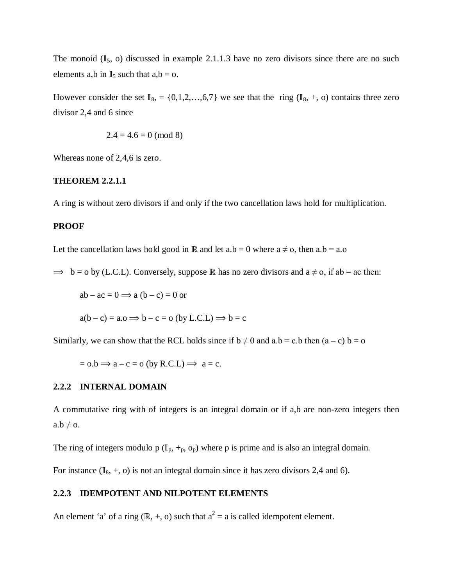The monoid  $(\mathbb{I}_5, o)$  discussed in example 2.1.1.3 have no zero divisors since there are no such elements a,b in  $\mathbb{I}_5$  such that  $a,b = 0$ .

However consider the set  $\mathbb{I}_8$ , = {0,1,2,...,6,7} we see that the ring ( $\mathbb{I}_8$ , +, o) contains three zero divisor 2,4 and 6 since

$$
2.4 = 4.6 = 0 \pmod{8}
$$

Whereas none of 2,4,6 is zero.

### **THEOREM 2.2.1.1**

A ring is without zero divisors if and only if the two cancellation laws hold for multiplication.

### **PROOF**

Let the cancellation laws hold good in ℝ and let a.b = 0 where  $a \neq o$ , then  $a.b = a.o$ 

 $\Rightarrow$  b = o by (L.C.L). Conversely, suppose ℝ has no zero divisors and a ≠ o, if ab = ac then:

 $ab - ac = 0 \implies a (b - c) = 0$  or

$$
a(b - c) = a.o \Longrightarrow b - c = o \text{ (by L.C.L)} \Longrightarrow b = c
$$

Similarly, we can show that the RCL holds since if  $b \neq 0$  and  $a.b = c.b$  then  $(a - c) b = o$ 

$$
=
$$
 0.b  $\Rightarrow$  a  $-$  c  $=$  o (by R.C.L)  $\Rightarrow$  a  $=$  c.

## **2.2.2 INTERNAL DOMAIN**

A commutative ring with of integers is an integral domain or if a,b are non-zero integers then  $a.b \neq o.$ 

The ring of integers modulo p ( $\mathbb{I}_p$ ,  $\div_p$ ,  $o_p$ ) where p is prime and is also an integral domain.

For instance  $(\mathbb{I}_8, +, o)$  is not an integral domain since it has zero divisors 2,4 and 6).

### **2.2.3 IDEMPOTENT AND NILPOTENT ELEMENTS**

An element 'a' of a ring (ℝ, +, o) such that  $a^2 = a$  is called idempotent element.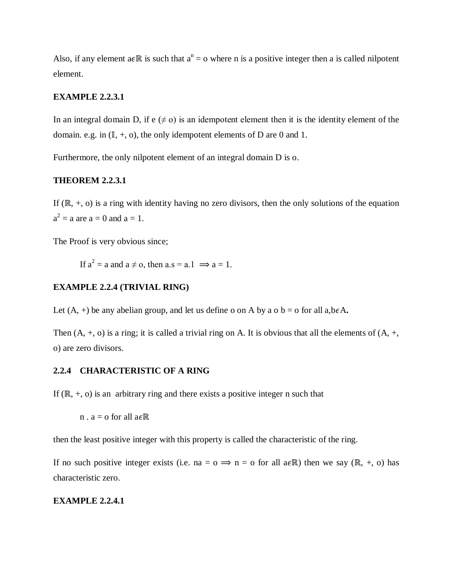Also, if any element a $\epsilon \mathbb{R}$  is such that  $a^n = o$  where n is a positive integer then a is called nilpotent element.

## **EXAMPLE 2.2.3.1**

In an integral domain D, if  $e \neq 0$  is an idempotent element then it is the identity element of the domain. e.g. in  $(II, +, o)$ , the only idempotent elements of D are 0 and 1.

Furthermore, the only nilpotent element of an integral domain D is o.

## **THEOREM 2.2.3.1**

If  $(\mathbb{R}, +, o)$  is a ring with identity having no zero divisors, then the only solutions of the equation  $a^2 = a$  are  $a = 0$  and  $a = 1$ .

The Proof is very obvious since;

If  $a^2 = a$  and  $a \neq o$ , then  $a.s = a.1 \implies a = 1$ .

## **EXAMPLE 2.2.4 (TRIVIAL RING)**

Let  $(A, +)$  be any abelian group, and let us define o on A by a  $o$  b =  $o$  for all a, b $\epsilon A$ .

Then  $(A, +, o)$  is a ring; it is called a trivial ring on A. It is obvious that all the elements of  $(A, +, o)$ o) are zero divisors.

## **2.2.4 CHARACTERISTIC OF A RING**

If  $(\mathbb{R}, +, o)$  is an arbitrary ring and there exists a positive integer n such that

 $n \cdot a = o$  for all  $a \in \mathbb{R}$ 

then the least positive integer with this property is called the characteristic of the ring.

If no such positive integer exists (i.e. na =  $o \implies n = o$  for all a $\epsilon \mathbb{R}$ ) then we say (ℝ, +, o) has characteristic zero.

## **EXAMPLE 2.2.4.1**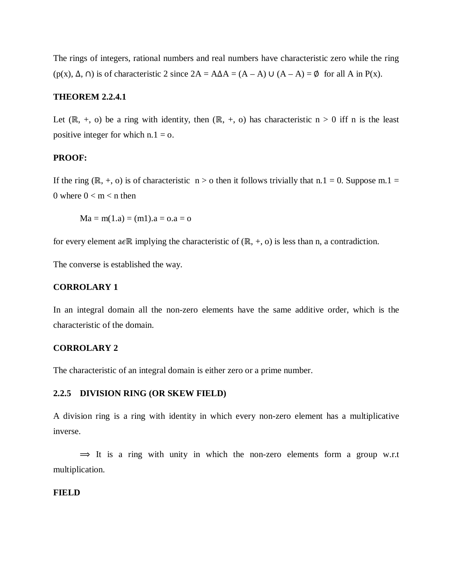The rings of integers, rational numbers and real numbers have characteristic zero while the ring (p(x),  $\Delta$ ,  $\cap$ ) is of characteristic 2 since  $2A = A\Delta A = (A - A) \cup (A - A) = \emptyset$  for all A in P(x).

## **THEOREM 2.2.4.1**

Let  $(\mathbb{R}, +, o)$  be a ring with identity, then  $(\mathbb{R}, +, o)$  has characteristic  $n > 0$  iff n is the least positive integer for which  $n = 1 = 0$ .

#### **PROOF:**

If the ring (ℝ, +, o) is of characteristic n > o then it follows trivially that n.1 = 0. Suppose m.1 = 0 where  $0 < m < n$  then

 $Ma = m(1.a) = (m1).a = o.a = o$ 

for every element a $\epsilon \mathbb{R}$  implying the characteristic of  $(\mathbb{R}, +, o)$  is less than n, a contradiction.

The converse is established the way.

### **CORROLARY 1**

In an integral domain all the non-zero elements have the same additive order, which is the characteristic of the domain.

### **CORROLARY 2**

The characteristic of an integral domain is either zero or a prime number.

#### **2.2.5 DIVISION RING (OR SKEW FIELD)**

A division ring is a ring with identity in which every non-zero element has a multiplicative inverse.

 $\Rightarrow$  It is a ring with unity in which the non-zero elements form a group w.r.t multiplication.

#### **FIELD**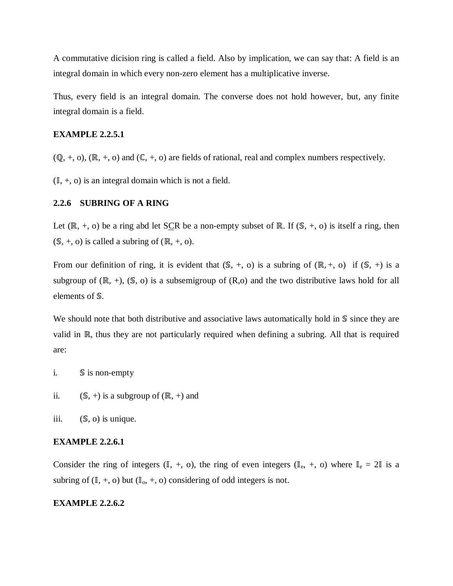A commutative dicision ring is called a field. Also by implication, we can say that: A field is an integral domain in which every non-zero element has a multiplicative inverse.

Thus, every field is an integral domain. The converse does not hold however, but, any finite integral domain is a field.

## **EXAMPLE 2.2.5.1**

 $(\mathbb{Q}, +, o), (\mathbb{R}, +, o)$  and  $(\mathbb{C}, +, o)$  are fields of rational, real and complex numbers respectively.

 $(I, +, o)$  is an integral domain which is not a field.

## **2.2.6 SUBRING OF A RING**

Let ( $\mathbb{R}, +$ , o) be a ring abd let SCR be a non-empty subset of  $\mathbb{R}$ . If ( $\mathbb{S}, +$ , o) is itself a ring, then  $(S, +, o)$  is called a subring of  $(\mathbb{R}, +, o)$ .

From our definition of ring, it is evident that  $(S, +, o)$  is a subring of  $(\mathbb{R}, +, o)$  if  $(S, +)$  is a subgroup of  $(\mathbb{R}, +)$ ,  $(\mathbb{S}, o)$  is a subsemigroup of  $(\mathbb{R}, o)$  and the two distributive laws hold for all elements of \$.

We should note that both distributive and associative laws automatically hold in  $\mathbb S$  since they are valid in ℝ, thus they are not particularly required when defining a subring. All that is required are:

- i. S is non-empty
- ii.  $(S, +)$  is a subgroup of  $(\mathbb{R}, +)$  and

iii.  $(S, o)$  is unique.

### **EXAMPLE 2.2.6.1**

Consider the ring of integers ( $\mathbb{I}$ , +, o), the ring of even integers ( $\mathbb{I}_{e}$ , +, o) where  $\mathbb{I}_{e} = 2\mathbb{I}$  is a subring of  $(II, +, o)$  but  $(II<sub>o</sub>, +, o)$  considering of odd integers is not.

### **EXAMPLE 2.2.6.2**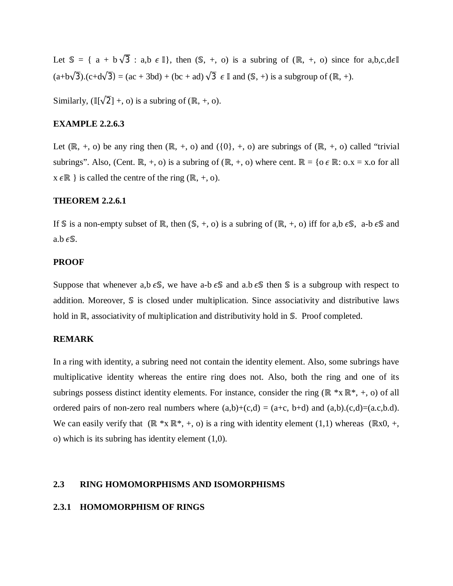Let  $\mathbb{S} = \{ a + b\sqrt{3} : a,b \in \mathbb{I} \}$ , then  $(\mathbb{S}, +, o)$  is a subring of  $(\mathbb{R}, +, o)$  since for a,b,c,de $\mathbb{I}$  $(a+b\sqrt{3})$ . $(c+d\sqrt{3}) = (ac+3bd) + (bc+ad)\sqrt{3} \in \mathbb{I}$  and  $(\mathbb{S}, +)$  is a subgroup of  $(\mathbb{R}, +)$ .

Similarly,  $(\mathbb{I}[\sqrt{2}] +, o)$  is a subring of  $(\mathbb{R}, +, o)$ .

## **EXAMPLE 2.2.6.3**

Let  $(\mathbb{R}, +, o)$  be any ring then  $(\mathbb{R}, +, o)$  and  $({0}, +, o)$  are subrings of  $(\mathbb{R}, +, o)$  called "trivial" subrings". Also, (Cent. ℝ, +, o) is a subring of (ℝ, +, o) where cent. ℝ = {o  $\epsilon \mathbb{R}$ : o.x = x.o for all  $x \in \mathbb{R}$  } is called the centre of the ring ( $\mathbb{R}, +$ , o).

### **THEOREM 2.2.6.1**

If S is a non-empty subset of ℝ, then  $(S, +, o)$  is a subring of  $(R, +, o)$  iff for a,b  $\epsilon S$ , a-b  $\epsilon S$  and a.b  $\epsilon$ \$.

#### **PROOF**

Suppose that whenever a,b  $\epsilon$ S, we have a-b  $\epsilon$ S and a.b  $\epsilon$ S then S is a subgroup with respect to addition. Moreover, S is closed under multiplication. Since associativity and distributive laws hold in ℝ, associativity of multiplication and distributivity hold in \$. Proof completed.

## **REMARK**

In a ring with identity, a subring need not contain the identity element. Also, some subrings have multiplicative identity whereas the entire ring does not. Also, both the ring and one of its subrings possess distinct identity elements. For instance, consider the ring (ℝ \*x ℝ\*, +, o) of all ordered pairs of non-zero real numbers where  $(a,b)+(c,d) = (a+c, b+d)$  and  $(a,b),(c,d)=(a.c,b.d)$ . We can easily verify that  $(\mathbb{R}^* \times \mathbb{R}^*, +, o)$  is a ring with identity element  $(1,1)$  whereas  $(\mathbb{R} \times 0, +, o)$ o) which is its subring has identity element (1,0).

### **2.3 RING HOMOMORPHISMS AND ISOMORPHISMS**

#### **2.3.1 HOMOMORPHISM OF RINGS**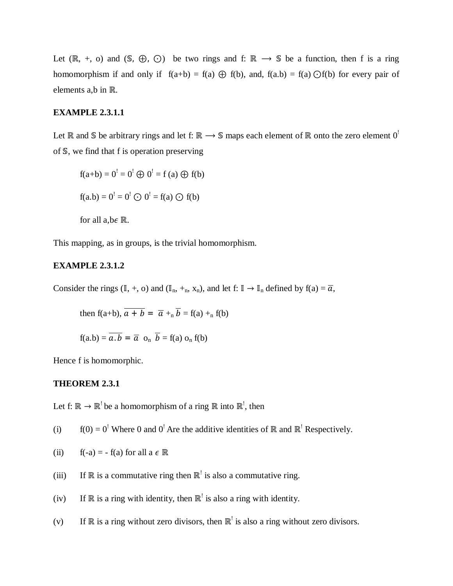Let  $(\mathbb{R}, +, o)$  and  $(\mathbb{S}, \Theta, \Theta)$  be two rings and f:  $\mathbb{R} \to \mathbb{S}$  be a function, then f is a ring homomorphism if and only if  $f(a+b) = f(a) \oplus f(b)$ , and,  $f(a,b) = f(a) \oplus f(b)$  for every pair of elements a,b in ℝ.

#### **EXAMPLE 2.3.1.1**

Let ℝ and S be arbitrary rings and let f: ℝ → S maps each element of ℝ onto the zero element 0<sup>!</sup> of S, we find that f is operation preserving

$$
f(a+b) = 0! = 0! \oplus 0! = f (a) \oplus f(b)
$$
  
f(a,b) = 0<sup>!</sup> = 0<sup>!</sup>  $\odot$  0<sup>!</sup> = f(a)  $\odot$  f(b)  
for all a,b $\in$  R.

This mapping, as in groups, is the trivial homomorphism.

## **EXAMPLE 2.3.1.2**

Consider the rings  $(\mathbb{I}, +, o)$  and  $(\mathbb{I}_n, +_n, x_n)$ , and let  $f: \mathbb{I} \to \mathbb{I}_n$  defined by  $f(a) = \overline{a}$ ,

then f(a+b), 
$$
\overline{a+b} = \overline{a} +_{n} \overline{b} = f(a) +_{n} f(b)
$$

$$
f(a.b) = \overline{a \cdot b} = \overline{a} \ o_n \ \overline{b} = f(a) \ o_n \ f(b)
$$

Hence f is homomorphic.

### **THEOREM 2.3.1**

Let f:  $\mathbb{R} \to \mathbb{R}^!$  be a homomorphism of a ring  $\mathbb{R}$  into  $\mathbb{R}^!$ , then

(i)  $f(0) = 0$ <sup>!</sup> Where 0 and 0<sup>!</sup> Are the additive identities of ℝ and ℝ<sup>!</sup> Respectively.

(ii) 
$$
f(-a) = -f(a)
$$
 for all  $a \in \mathbb{R}$ 

- (iii) If  $\mathbb R$  is a commutative ring then  $\mathbb R^1$  is also a commutative ring.
- (iv) If  $\mathbb R$  is a ring with identity, then  $\mathbb R^!$  is also a ring with identity.
- (v) If  $\mathbb R$  is a ring without zero divisors, then  $\mathbb R^!$  is also a ring without zero divisors.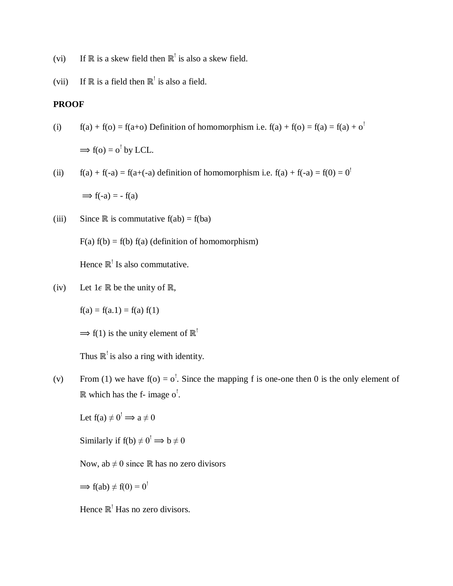- (vi) If  $\mathbb R$  is a skew field then  $\mathbb R^!$  is also a skew field.
- (vii) If  $\mathbb R$  is a field then  $\mathbb R^!$  is also a field.

## **PROOF**

(i) 
$$
f(a) + f(o) = f(a+o)
$$
 Definition of homomorphism i.e.  $f(a) + f(o) = f(a) = f(a) + o1$ 

 $\Rightarrow$  f(o) = o<sup>!</sup> by LCL.

(ii) 
$$
f(a) + f(-a) = f(a + (-a))
$$
 definition of homomorphism i.e.  $f(a) + f(-a) = f(0) = 0$ 

 $\Rightarrow$  f(-a) = - f(a)

(iii) Since ℝ is commutative  $f(ab) = f(ba)$ 

 $F(a) f(b) = f(b) f(a)$  (definition of homomorphism)

Hence  $\mathbb{R}^!$  Is also commutative.

(iv) Let  $1 \in \mathbb{R}$  be the unity of  $\mathbb{R}$ ,

 $f(a) = f(a.1) = f(a) f(1)$ 

 $\Rightarrow$  f(1) is the unity element of  $\mathbb{R}^!$ 

Thus  $\mathbb{R}^!$  is also a ring with identity.

(v) From (1) we have  $f(0) = 0^{\frac{1}{2}}$ . Since the mapping f is one-one then 0 is the only element of  $\mathbb R$  which has the f- image o<sup>!</sup>.

Let  $f(a) \neq 0^! \implies a \neq 0$ 

Similarly if  $f(b) \neq 0^! \implies b \neq 0$ 

Now,  $ab \neq 0$  since ℝ has no zero divisors

 $\Rightarrow$  f(ab)  $\neq$  f(0) = 0<sup>!</sup>

Hence  $\mathbb{R}^!$  Has no zero divisors.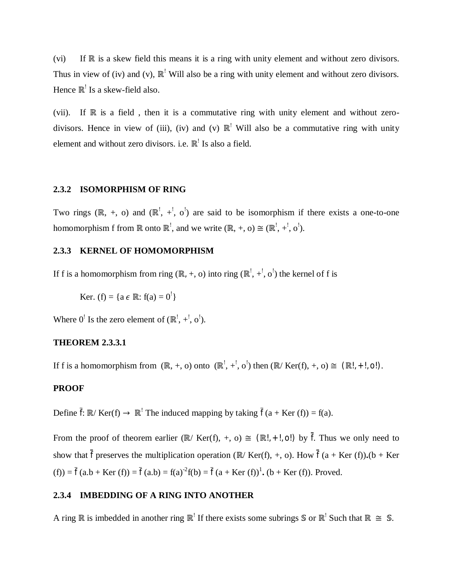(vi) If R is a skew field this means it is a ring with unity element and without zero divisors. Thus in view of (iv) and (v),  $\mathbb{R}^1$  Will also be a ring with unity element and without zero divisors. Hence  $\mathbb{R}^!$  Is a skew-field also.

(vii). If ℝ is a field , then it is a commutative ring with unity element and without zerodivisors. Hence in view of (iii), (iv) and (v)  $\mathbb{R}^1$  Will also be a commutative ring with unity element and without zero divisors. i.e.  $\mathbb{R}^!$  Is also a field.

#### **2.3.2 ISOMORPHISM OF RING**

Two rings (ℝ, +, o) and (ℝ', +', o') are said to be isomorphism if there exists a one-to-one homomorphism f from  $\mathbb R$  onto  $\mathbb R^!$ , and we write  $(\mathbb R, +, 0) \cong (\mathbb R^!, +, \circ')$ .

## **2.3.3 KERNEL OF HOMOMORPHISM**

If f is a homomorphism from ring ( $\mathbb{R}, +$ , o) into ring ( $\mathbb{R}^1$ ,  $+$ <sup>1</sup>, o<sup>1</sup>) the kernel of f is

Ker. (f) = { $a \in \mathbb{R}$ : f( $a$ ) =  $0^!$  }

Where  $0^!$  Is the zero element of  $(\mathbb{R}^!, +, \circ')$ .

## **THEOREM 2.3.3.1**

If f is a homomorphism from  $(\mathbb{R}, +, o)$  onto  $(\mathbb{R}^!, +, o')$  then  $(\mathbb{R}/\text{Ker}(f), +, o) \cong (\mathbb{R}!, +!, o!)$ .

## **PROOF**

Define  $\bar{f}$ :  $\mathbb{R}/$  Ker(f)  $\rightarrow \mathbb{R}$ <sup>!</sup> The induced mapping by taking  $\bar{f}$  (a + Ker (f)) = f(a).

From the proof of theorem earlier (ℝ/ Ker(f), +, o)  $\cong$  (ℝ!, +!, o!) by f. Thus we only need to show that  $\bar{f}$  preserves the multiplication operation (ℝ/ Ker(f), +, o). How  $\bar{f}$  (a + Ker (f)).(b + Ker (f)) =  $\bar{f}(a.b + Ker(f)) = \bar{f}(a.b) = f(a)^{-2}f(b) = \bar{f}(a + Ker(f))^{1}$ . (b + Ker (f)). Proved.

### **2.3.4 IMBEDDING OF A RING INTO ANOTHER**

A ring R is imbedded in another ring R<sup>!</sup> If there exists some subrings S or R<sup>!</sup> Such that R  $\cong$  S.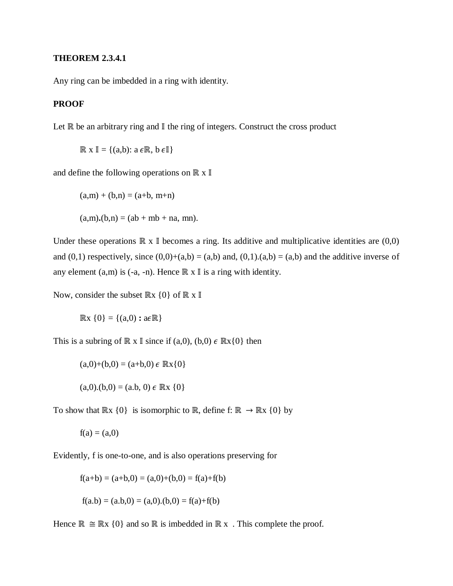## **THEOREM 2.3.4.1**

Any ring can be imbedded in a ring with identity.

## **PROOF**

Let  $\mathbb R$  be an arbitrary ring and  $\mathbb I$  the ring of integers. Construct the cross product

 $\mathbb{R}$  x  $\mathbb{I} = \{(a,b): a \in \mathbb{R}, b \in \mathbb{I}\}\$ 

and define the following operations on  $\mathbb{R} \times \mathbb{I}$ 

 $(a,m) + (b,n) = (a+b, m+n)$ 

 $(a,m),(b,n) = (ab + mb + na, mn).$ 

Under these operations  $\mathbb{R} \times \mathbb{I}$  becomes a ring. Its additive and multiplicative identities are  $(0,0)$ and  $(0,1)$  respectively, since  $(0,0)+(a,b) = (a,b)$  and,  $(0,1).(a,b) = (a,b)$  and the additive inverse of any element (a,m) is (-a, -n). Hence  $\mathbb{R} \times \mathbb{I}$  is a ring with identity.

Now, consider the subset  $\mathbb{R} \times \{0\}$  of  $\mathbb{R} \times \mathbb{I}$ 

 $\mathbb{R} \times \{0\} = \{(a,0) : a \in \mathbb{R}\}\$ 

This is a subring of ℝ x I since if (a,0), (b,0)  $\epsilon$  ℝx{0} then

$$
(a,0)+(b,0)=(a+b,0) \in \mathbb{R}x\{0\}
$$

$$
(a,0).(b,0) = (a.b, 0) \in \mathbb{R} \times \{0\}
$$

To show that  $\mathbb{R} \times \{0\}$  is isomorphic to  $\mathbb{R}$ , define f:  $\mathbb{R} \to \mathbb{R} \times \{0\}$  by

$$
f(a)=(a,0)
$$

Evidently, f is one-to-one, and is also operations preserving for

$$
f(a+b) = (a+b,0) = (a,0)+(b,0) = f(a)+f(b)
$$

$$
f(a.b) = (a.b, 0) = (a, 0)
$$
.  $(b, 0) = f(a)+f(b)$ 

Hence  $\mathbb{R} \cong \mathbb{R} \times \{0\}$  and so  $\mathbb{R}$  is imbedded in  $\mathbb{R} \times$ . This complete the proof.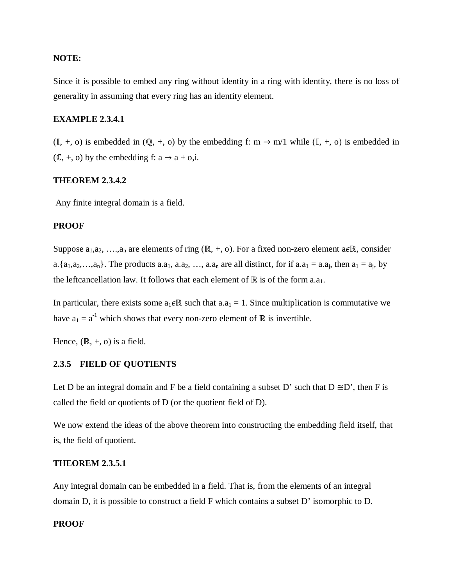## **NOTE:**

Since it is possible to embed any ring without identity in a ring with identity, there is no loss of generality in assuming that every ring has an identity element.

## **EXAMPLE 2.3.4.1**

 $(\mathbb{I}, +, o)$  is embedded in  $(\mathbb{Q}, +, o)$  by the embedding f: m  $\rightarrow$  m/1 while  $(\mathbb{I}, +, o)$  is embedded in  $(C, +, o)$  by the embedding f:  $a \rightarrow a + o$ ,i.

#### **THEOREM 2.3.4.2**

Any finite integral domain is a field.

## **PROOF**

Suppose  $a_1, a_2, \ldots, a_n$  are elements of ring (ℝ, +, o). For a fixed non-zero element a∈ℝ, consider a.  $\{a_1, a_2, \ldots, a_n\}$ . The products a.a<sub>1</sub>, a.a<sub>2</sub>, ..., a.a<sub>n</sub> are all distinct, for if a.a<sub>1</sub> = a.a<sub>i</sub>, then a<sub>1</sub> = a<sub>i</sub>, by the leftcancellation law. It follows that each element of ℝ is of the form a.a<sub>1</sub>.

In particular, there exists some  $a_1 \in \mathbb{R}$  such that  $a_1 = 1$ . Since multiplication is commutative we have  $a_1 = a^{-1}$  which shows that every non-zero element of ℝ is invertible.

Hence,  $(\mathbb{R}, +, o)$  is a field.

## **2.3.5 FIELD OF QUOTIENTS**

Let D be an integral domain and F be a field containing a subset D' such that  $D \cong D'$ , then F is called the field or quotients of D (or the quotient field of D).

We now extend the ideas of the above theorem into constructing the embedding field itself, that is, the field of quotient.

### **THEOREM 2.3.5.1**

Any integral domain can be embedded in a field. That is, from the elements of an integral domain D, it is possible to construct a field F which contains a subset D' isomorphic to D.

#### **PROOF**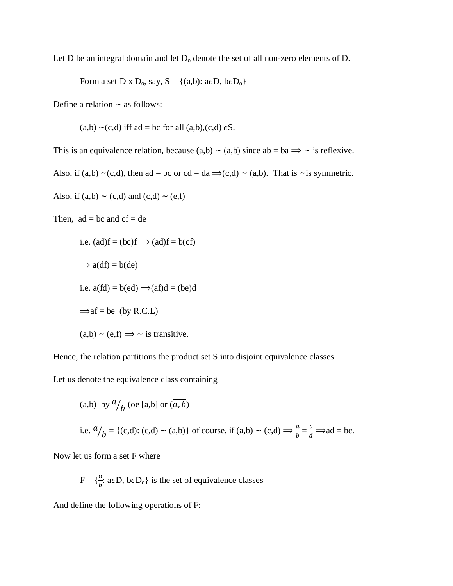Let D be an integral domain and let  $D_0$  denote the set of all non-zero elements of D.

Form a set D x  $D_0$ , say,  $S = \{(a,b): a \in D, b \in D_0\}$ 

Define a relation  $\sim$  as follows:

 $(a,b)$  ~(c,d) iff ad = bc for all  $(a,b),(c,d) \in S$ .

This is an equivalence relation, because  $(a,b) \sim (a,b)$  since  $ab = ba \implies \sim$  is reflexive.

Also, if (a,b) ~(c,d), then ad = bc or cd = da  $\Rightarrow$ (c,d) ~ (a,b). That is ~is symmetric.

```
Also, if (a,b) ~ (c,d) and (c,d) ~ (e,f)
```
Then,  $ad = bc$  and  $cf = de$ 

i.e. 
$$
(ad)f = (bc)f \implies (ad)f = b(cf)
$$
  
\n $\implies a(df) = b(de)$   
\ni.e.  $a(fd) = b(ed) \implies (af)d = (be)d$   
\n $\implies af = be (by R.C.L)$   
\n $(a,b) \sim (e,f) \implies \sim \text{ is transitive.}$ 

Hence, the relation partitions the product set S into disjoint equivalence classes.

Let us denote the equivalence class containing

(a,b) by 
$$
\frac{a}{b}
$$
 (oe [a,b] or  $(\overline{a}, \overline{b})$   
i.e.  $\frac{a}{b} = \{ (c,d) : (c,d) \sim (a,b) \}$  of course, if  $(a,b) \sim (c,d) \Longrightarrow \frac{a}{b} = \frac{c}{d} \Longrightarrow ad = bc$ .

Now let us form a set F where

 $F = \{\frac{a}{b} : a \in D, b \in D_0\}$  is the set of equivalence classes

And define the following operations of F: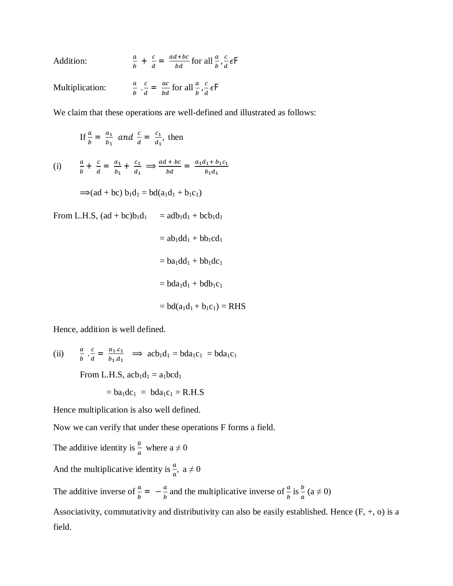| Addition:       | $\frac{a}{b} + \frac{c}{d} = \frac{ad + bc}{bd}$ for all $\frac{a}{b}$ , $\frac{c}{d} \in F$  |
|-----------------|-----------------------------------------------------------------------------------------------|
| Multiplication: | $\frac{a}{b} \cdot \frac{c}{d} = \frac{ac}{bd}$ for all $\frac{a}{b} \cdot \frac{c}{d} \in F$ |

We claim that these operations are well-defined and illustrated as follows:

If 
$$
\frac{a}{b} = \frac{a_1}{b_1}
$$
 and  $\frac{c}{d} = \frac{c_1}{d_1}$ , then

(i) 
$$
\frac{a}{b} + \frac{c}{d} = \frac{a_1}{b_1} + \frac{c_1}{d_1} \implies \frac{ad + bc}{bd} = \frac{a_1d_1 + b_1c_1}{b_1d_1}
$$

$$
\Rightarrow (ad + bc) b_1 d_1 = bd(a_1 d_1 + b_1 c_1)
$$

From L.H.S,  $(ad + bc)b_1d_1 = adb_1d_1 + bcb_1d_1$ 

 $=$  ab<sub>1</sub>dd<sub>1</sub> + bb<sub>1</sub>cd<sub>1</sub>

$$
= ba_1 dd_1 + bb_1 dc_1
$$

 $= bda_1d_1 + bdb_1c_1$ 

$$
= bd(a_1d_1 + b_1c_1) = RHS
$$

Hence, addition is well defined.

(ii) 
$$
\frac{a}{b} \cdot \frac{c}{d} = \frac{a_1 \cdot c_1}{b_1 \cdot d_1} \implies acb_1d_1 = bda_1c_1 = bda_1c_1
$$
  
From L.H.S,  $acb_1d_1 = a_1bcd_1$ 

$$
=ba_1dc_1\ =\ bda_1c_1=R.H.S
$$

Hence multiplication is also well defined.

Now we can verify that under these operations F forms a field.

The additive identity is  $\frac{0}{a}$  where  $a \neq 0$ And the multiplicative identity is  $\frac{a}{a}$ ,  $a \neq 0$ The additive inverse of  $\frac{a}{b} = -\frac{a}{b}$  $\frac{a}{b}$  and the multiplicative inverse of  $\frac{a}{b}$  is  $\frac{b}{a}$  (a  $\neq$  0) Associativity, commutativity and distributivity can also be easily established. Hence (F, +, o) is a field.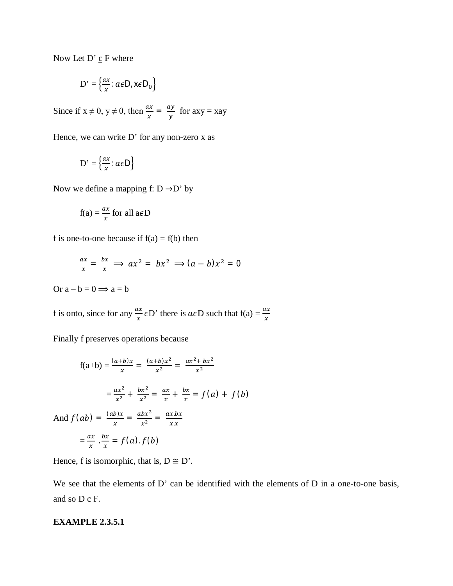Now Let  $D' \underline{c} F$  where

$$
D' = \left\{ \frac{ax}{x} : a \in D, x \in D_0 \right\}
$$

Since if  $x \neq 0$ ,  $y \neq 0$ , then  $\frac{ax}{x} = \frac{ay}{y}$  $\frac{dy}{y}$  for axy = xay

Hence, we can write D' for any non-zero x as

$$
\mathbf{D'} = \left\{ \frac{ax}{x} : a \in \mathsf{D} \right\}
$$

Now we define a mapping f:  $D \rightarrow D'$  by

$$
f(a) = \frac{ax}{x} \text{ for all } a \in D
$$

f is one-to-one because if  $f(a) = f(b)$  then

$$
\frac{ax}{x} = \frac{bx}{x} \implies ax^2 = bx^2 \implies (a - b)x^2 = 0
$$

Or  $a - b = 0 \implies a = b$ 

f is onto, since for any  $\frac{ax}{x} \in D'$  there is  $a \in D$  such that  $f(a) = \frac{ax}{x}$ 

Finally f preserves operations because

$$
f(a+b) = \frac{(a+b)x}{x} = \frac{(a+b)x^2}{x^2} = \frac{ax^2 + bx^2}{x^2}
$$

$$
= \frac{ax^2}{x^2} + \frac{bx^2}{x^2} = \frac{ax}{x} + \frac{bx}{x} = f(a) + f(b)
$$
And  $f(ab) = \frac{(ab)x}{x} = \frac{abx^2}{x^2} = \frac{ax.bx}{x.x}$ 
$$
= \frac{ax}{x} \cdot \frac{bx}{x} = f(a) \cdot f(b)
$$

Hence, f is isomorphic, that is,  $D \cong D'$ .

We see that the elements of D' can be identified with the elements of D in a one-to-one basis, and so  $D \underline{c} F$ .

### **EXAMPLE 2.3.5.1**